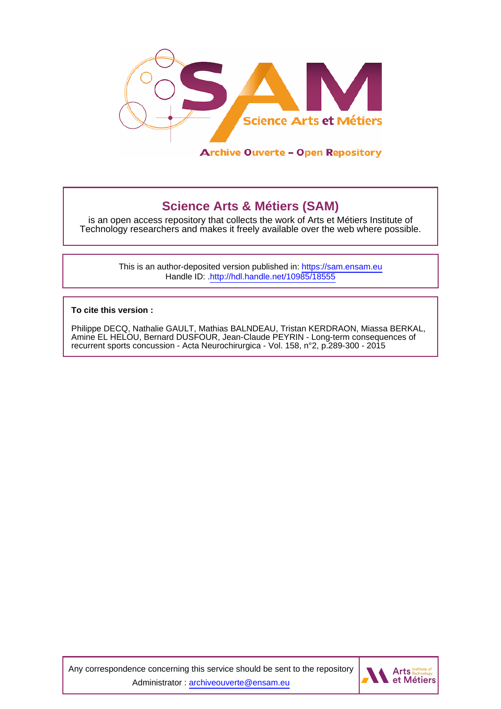

# **Science Arts & Métiers (SAM)**

is an open access repository that collects the work of Arts et Métiers Institute of Technology researchers and makes it freely available over the web where possible.

> This is an author-deposited version published in:<https://sam.ensam.eu> Handle ID: [.http://hdl.handle.net/10985/18555](http://hdl.handle.net/10985/18555)

**To cite this version :**

Philippe DECQ, Nathalie GAULT, Mathias BALNDEAU, Tristan KERDRAON, Miassa BERKAL, Amine EL HELOU, Bernard DUSFOUR, Jean-Claude PEYRIN - Long-term consequences of recurrent sports concussion - Acta Neurochirurgica - Vol. 158, n°2, p.289-300 - 2015

Any correspondence concerning this service should be sent to the repository Administrator : [archiveouverte@ensam.eu](mailto:archiveouverte@ensam.eu)

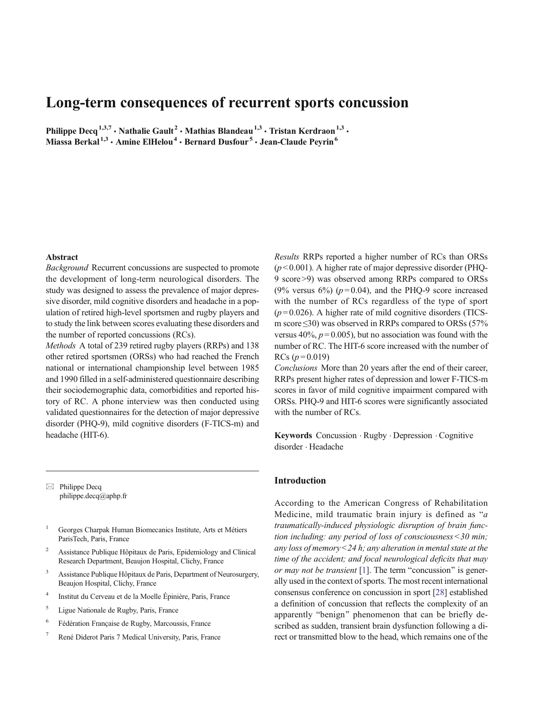## Long-term consequences of recurrent sports concussion

Philippe Decq<sup>1,3,7</sup> • Nathalie Gault<sup>2</sup> • Mathias Blandeau<sup>1,3</sup> • Tristan Kerdraon<sup>1,3</sup> • Miassa Berkal<sup>1,3</sup> · Amine ElHelou<sup>4</sup> · Bernard Dusfour<sup>5</sup> · Jean-Claude Peyrin<sup>6</sup>

#### Abstract

Background Recurrent concussions are suspected to promote the development of long-term neurological disorders. The study was designed to assess the prevalence of major depressive disorder, mild cognitive disorders and headache in a population of retired high-level sportsmen and rugby players and to study the link between scores evaluating these disorders and the number of reported concussions (RCs).

Methods A total of 239 retired rugby players (RRPs) and 138 other retired sportsmen (ORSs) who had reached the French national or international championship level between 1985 and 1990 filled in a self-administered questionnaire describing their sociodemographic data, comorbidities and reported history of RC. A phone interview was then conducted using validated questionnaires for the detection of major depressive disorder (PHQ-9), mild cognitive disorders (F-TICS-m) and headache (HIT-6).

 $\boxtimes$  Philippe Decq philippe.decq@aphp.fr

- <sup>1</sup> Georges Charpak Human Biomecanics Institute, Arts et Métiers ParisTech, Paris, France
- <sup>2</sup> Assistance Publique Hôpitaux de Paris, Epidemiology and Clinical Research Department, Beaujon Hospital, Clichy, France
- <sup>3</sup> Assistance Publique Hôpitaux de Paris, Department of Neurosurgery, Beaujon Hospital, Clichy, France
- <sup>4</sup> Institut du Cerveau et de la Moelle Épinière, Paris, France
- <sup>5</sup> Ligue Nationale de Rugby, Paris, France
- <sup>6</sup> Fédération Française de Rugby, Marcoussis, France
- <sup>7</sup> René Diderot Paris 7 Medical University, Paris, France

Results RRPs reported a higher number of RCs than ORSs  $(p<0.001)$ . A higher rate of major depressive disorder (PHQ-9 score >9) was observed among RRPs compared to ORSs (9% versus 6%) ( $p=0.04$ ), and the PHQ-9 score increased with the number of RCs regardless of the type of sport  $(p=0.026)$ . A higher rate of mild cognitive disorders (TICSm score  $\leq$ 30) was observed in RRPs compared to ORSs (57% versus  $40\%, p=0.005$ , but no association was found with the number of RC. The HIT-6 score increased with the number of RCs  $(p=0.019)$ 

Conclusions More than 20 years after the end of their career, RRPs present higher rates of depression and lower F-TICS-m scores in favor of mild cognitive impairment compared with ORSs. PHQ-9 and HIT-6 scores were significantly associated with the number of RCs.

Keywords Concussion . Rugby . Depression . Cognitive disorder . Headache

#### Introduction

According to the American Congress of Rehabilitation Medicine, mild traumatic brain injury is defined as " $a$ traumatically-induced physiologic disruption of brain function including: any period of loss of consciousness <30 min; any loss of memory  $\leq$  24 h; any alteration in mental state at the time of the accident; and focal neurological deficits that may or may not be transient  $[1]$  $[1]$ . The term "concussion" is generally used in the context of sports. The most recent international consensus conference on concussion in sport [[28\]](#page-11-0) established a definition of concussion that reflects the complexity of an apparently "benign" phenomenon that can be briefly described as sudden, transient brain dysfunction following a direct or transmitted blow to the head, which remains one of the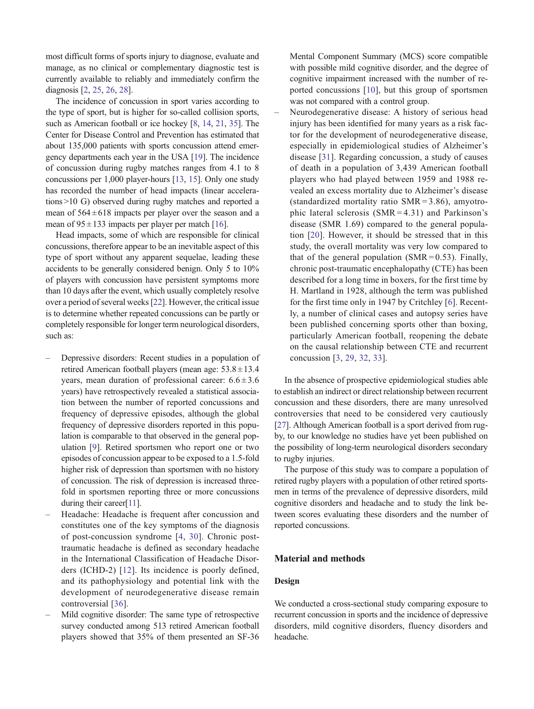most difficult forms of sports injury to diagnose, evaluate and manage, as no clinical or complementary diagnostic test is currently available to reliably and immediately confirm the diagnosis [\[2](#page-11-0), [25](#page-11-0), [26,](#page-11-0) [28\]](#page-11-0).

The incidence of concussion in sport varies according to the type of sport, but is higher for so-called collision sports, such as American football or ice hockey [\[8](#page-11-0), [14](#page-11-0), [21](#page-11-0), [35\]](#page-11-0). The Center for Disease Control and Prevention has estimated that about 135,000 patients with sports concussion attend emergency departments each year in the USA [\[19](#page-11-0)]. The incidence of concussion during rugby matches ranges from 4.1 to 8 concussions per 1,000 player-hours [\[13](#page-11-0), [15](#page-11-0)]. Only one study has recorded the number of head impacts (linear accelerations >10 G) observed during rugby matches and reported a mean of  $564 \pm 618$  impacts per player over the season and a mean of  $95 \pm 133$  impacts per player per match [[16](#page-11-0)].

Head impacts, some of which are responsible for clinical concussions, therefore appear to be an inevitable aspect of this type of sport without any apparent sequelae, leading these accidents to be generally considered benign. Only 5 to 10% of players with concussion have persistent symptoms more than 10 days after the event, which usually completely resolve over a period of several weeks [\[22\]](#page-11-0). However, the critical issue is to determine whether repeated concussions can be partly or completely responsible for longer term neurological disorders, such as:

- Depressive disorders: Recent studies in a population of retired American football players (mean age:  $53.8 \pm 13.4$ years, mean duration of professional career:  $6.6 \pm 3.6$ years) have retrospectively revealed a statistical association between the number of reported concussions and frequency of depressive episodes, although the global frequency of depressive disorders reported in this population is comparable to that observed in the general population [\[9](#page-11-0)]. Retired sportsmen who report one or two episodes of concussion appear to be exposed to a 1.5-fold higher risk of depression than sportsmen with no history of concussion. The risk of depression is increased threefold in sportsmen reporting three or more concussions during their career[\[11](#page-11-0)].
- Headache: Headache is frequent after concussion and constitutes one of the key symptoms of the diagnosis of post-concussion syndrome [\[4](#page-11-0), [30](#page-11-0)]. Chronic posttraumatic headache is defined as secondary headache in the International Classification of Headache Disorders (ICHD-2) [[12](#page-11-0)]. Its incidence is poorly defined, and its pathophysiology and potential link with the development of neurodegenerative disease remain controversial [\[36\]](#page-12-0).
- Mild cognitive disorder: The same type of retrospective survey conducted among 513 retired American football players showed that 35% of them presented an SF-36

Mental Component Summary (MCS) score compatible with possible mild cognitive disorder, and the degree of cognitive impairment increased with the number of reported concussions [[10\]](#page-11-0), but this group of sportsmen was not compared with a control group.

– Neurodegenerative disease: A history of serious head injury has been identified for many years as a risk factor for the development of neurodegenerative disease, especially in epidemiological studies of Alzheimer's disease [[31](#page-11-0)]. Regarding concussion, a study of causes of death in a population of 3,439 American football players who had played between 1959 and 1988 revealed an excess mortality due to Alzheimer's disease (standardized mortality ratio  $SMR = 3.86$ ), amyotrophic lateral sclerosis (SMR = 4.31) and Parkinson's disease (SMR 1.69) compared to the general population [\[20\]](#page-11-0). However, it should be stressed that in this study, the overall mortality was very low compared to that of the general population (SMR =  $0.53$ ). Finally, chronic post-traumatic encephalopathy (CTE) has been described for a long time in boxers, for the first time by H. Martland in 1928, although the term was published for the first time only in 1947 by Critchley [[6\]](#page-11-0). Recently, a number of clinical cases and autopsy series have been published concerning sports other than boxing, particularly American football, reopening the debate on the causal relationship between CTE and recurrent concussion [[3,](#page-11-0) [29](#page-11-0), [32,](#page-11-0) [33](#page-11-0)].

In the absence of prospective epidemiological studies able to establish an indirect or direct relationship between recurrent concussion and these disorders, there are many unresolved controversies that need to be considered very cautiously [\[27](#page-11-0)]. Although American football is a sport derived from rugby, to our knowledge no studies have yet been published on the possibility of long-term neurological disorders secondary to rugby injuries.

The purpose of this study was to compare a population of retired rugby players with a population of other retired sportsmen in terms of the prevalence of depressive disorders, mild cognitive disorders and headache and to study the link between scores evaluating these disorders and the number of reported concussions.

## Material and methods

## Design

We conducted a cross-sectional study comparing exposure to recurrent concussion in sports and the incidence of depressive disorders, mild cognitive disorders, fluency disorders and headache.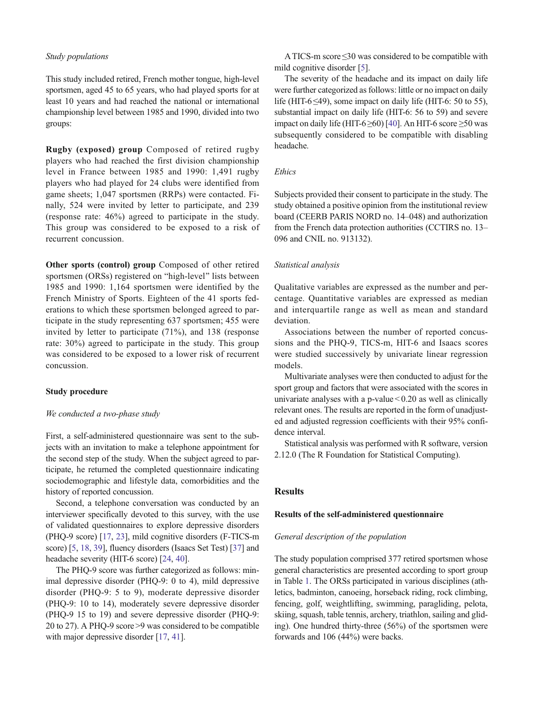#### Study populations

This study included retired, French mother tongue, high-level sportsmen, aged 45 to 65 years, who had played sports for at least 10 years and had reached the national or international championship level between 1985 and 1990, divided into two groups:

Rugby (exposed) group Composed of retired rugby players who had reached the first division championship level in France between 1985 and 1990: 1,491 rugby players who had played for 24 clubs were identified from game sheets; 1,047 sportsmen (RRPs) were contacted. Finally, 524 were invited by letter to participate, and 239 (response rate: 46%) agreed to participate in the study. This group was considered to be exposed to a risk of recurrent concussion.

Other sports (control) group Composed of other retired sportsmen (ORSs) registered on "high-level" lists between 1985 and 1990: 1,164 sportsmen were identified by the French Ministry of Sports. Eighteen of the 41 sports federations to which these sportsmen belonged agreed to participate in the study representing 637 sportsmen; 455 were invited by letter to participate (71%), and 138 (response rate: 30%) agreed to participate in the study. This group was considered to be exposed to a lower risk of recurrent concussion.

#### Study procedure

#### We conducted a two-phase study

First, a self-administered questionnaire was sent to the subjects with an invitation to make a telephone appointment for the second step of the study. When the subject agreed to participate, he returned the completed questionnaire indicating sociodemographic and lifestyle data, comorbidities and the history of reported concussion.

Second, a telephone conversation was conducted by an interviewer specifically devoted to this survey, with the use of validated questionnaires to explore depressive disorders (PHQ-9 score) [\[17](#page-11-0), [23](#page-11-0)], mild cognitive disorders (F-TICS-m score) [\[5,](#page-11-0) [18,](#page-11-0) [39](#page-12-0)], fluency disorders (Isaacs Set Test) [[37](#page-12-0)] and headache severity (HIT-6 score) [\[24,](#page-11-0) [40\]](#page-12-0).

The PHQ-9 score was further categorized as follows: minimal depressive disorder (PHQ-9: 0 to 4), mild depressive disorder (PHQ-9: 5 to 9), moderate depressive disorder (PHQ-9: 10 to 14), moderately severe depressive disorder (PHQ-9 15 to 19) and severe depressive disorder (PHQ-9: 20 to 27). A PHQ-9 score >9 was considered to be compatible with major depressive disorder [[17,](#page-11-0) [41](#page-12-0)].

ATICS-m score ≤30 was considered to be compatible with mild cognitive disorder [\[5](#page-11-0)].

The severity of the headache and its impact on daily life were further categorized as follows: little or no impact on daily life (HIT-6≤49), some impact on daily life (HIT-6: 50 to 55), substantial impact on daily life (HIT-6: 56 to 59) and severe impact on daily life (HIT-6 $\geq$ 60) [\[40\]](#page-12-0). An HIT-6 score  $\geq$ 50 was subsequently considered to be compatible with disabling headache.

#### Ethics

Subjects provided their consent to participate in the study. The study obtained a positive opinion from the institutional review board (CEERB PARIS NORD no. 14–048) and authorization from the French data protection authorities (CCTIRS no. 13– 096 and CNIL no. 913132).

#### Statistical analysis

Qualitative variables are expressed as the number and percentage. Quantitative variables are expressed as median and interquartile range as well as mean and standard deviation.

Associations between the number of reported concussions and the PHQ-9, TICS-m, HIT-6 and Isaacs scores were studied successively by univariate linear regression models.

Multivariate analyses were then conducted to adjust for the sport group and factors that were associated with the scores in univariate analyses with a p-value < 0.20 as well as clinically relevant ones. The results are reported in the form of unadjusted and adjusted regression coefficients with their 95% confidence interval.

Statistical analysis was performed with R software, version 2.12.0 (The R Foundation for Statistical Computing).

## **Results**

#### Results of the self-administered questionnaire

#### General description of the population

The study population comprised 377 retired sportsmen whose general characteristics are presented according to sport group in Table [1](#page-4-0). The ORSs participated in various disciplines (athletics, badminton, canoeing, horseback riding, rock climbing, fencing, golf, weightlifting, swimming, paragliding, pelota, skiing, squash, table tennis, archery, triathlon, sailing and gliding). One hundred thirty-three (56%) of the sportsmen were forwards and 106 (44%) were backs.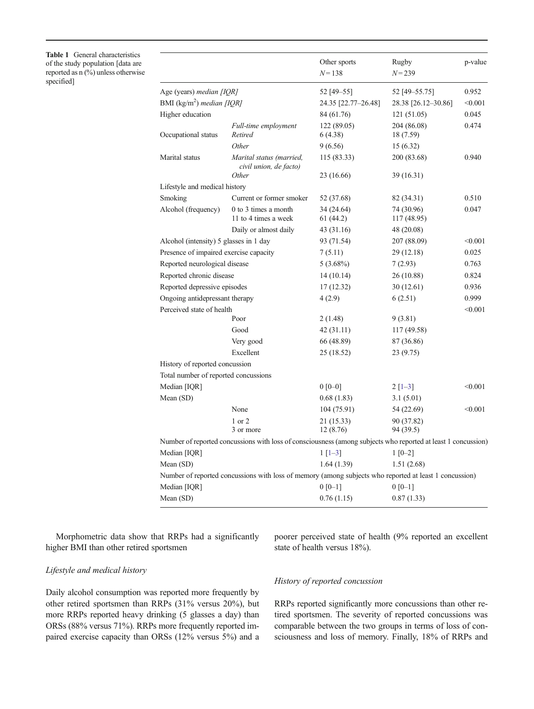<span id="page-4-0"></span>Table 1 General characteristics of the study population [data are reported as  $n$  (%) unless otherwise specified]

|                                        |                                                                                                               | Other sports<br>$N = 138$ | Rugby<br>$N = 239$        | p-value |
|----------------------------------------|---------------------------------------------------------------------------------------------------------------|---------------------------|---------------------------|---------|
| Age (years) median [IQR]               |                                                                                                               | 52 [49-55]                | 52 [49-55.75]             | 0.952   |
| BMI (kg/m <sup>2</sup> ) median [IQR]  |                                                                                                               | 24.35 [22.77-26.48]       | 28.38 [26.12-30.86]       | < 0.001 |
| Higher education                       |                                                                                                               | 84 (61.76)                | 121(51.05)                | 0.045   |
| Occupational status                    | Full-time employment<br>Retired                                                                               | 122 (89.05)<br>6(4.38)    | 204 (86.08)<br>18 (7.59)  | 0.474   |
|                                        | Other                                                                                                         | 9(6.56)                   | 15 (6.32)                 |         |
| Marital status                         | Marital status (married,<br>civil union, de facto)                                                            | 115(83.33)                | 200 (83.68)               | 0.940   |
|                                        | Other                                                                                                         | 23 (16.66)                | 39 (16.31)                |         |
| Lifestyle and medical history          |                                                                                                               |                           |                           |         |
| Smoking                                | Current or former smoker                                                                                      | 52 (37.68)                | 82 (34.31)                | 0.510   |
| Alcohol (frequency)                    | 0 to 3 times a month<br>11 to 4 times a week                                                                  | 34 (24.64)<br>61 (44.2)   | 74 (30.96)<br>117 (48.95) | 0.047   |
|                                        | Daily or almost daily                                                                                         | 43 (31.16)                | 48 (20.08)                |         |
| Alcohol (intensity) 5 glasses in 1 day |                                                                                                               | 93 (71.54)                | 207 (88.09)               | < 0.001 |
| Presence of impaired exercise capacity |                                                                                                               | 7(5.11)                   | 29 (12.18)                | 0.025   |
| Reported neurological disease          |                                                                                                               | $5(3.68\%)$               | 7(2.93)                   | 0.763   |
| Reported chronic disease               |                                                                                                               | 14(10.14)                 | 26 (10.88)                | 0.824   |
| Reported depressive episodes           |                                                                                                               | 17(12.32)                 | 30(12.61)                 | 0.936   |
| Ongoing antidepressant therapy         |                                                                                                               | 4(2.9)                    | 6(2.51)                   | 0.999   |
| Perceived state of health              |                                                                                                               |                           |                           | < 0.001 |
|                                        | Poor                                                                                                          | 2(1.48)                   | 9 (3.81)                  |         |
|                                        | Good                                                                                                          | 42 (31.11)                | 117 (49.58)               |         |
|                                        | Very good                                                                                                     | 66 (48.89)                | 87 (36.86)                |         |
|                                        | Excellent                                                                                                     | 25 (18.52)                | 23 (9.75)                 |         |
| History of reported concussion         |                                                                                                               |                           |                           |         |
| Total number of reported concussions   |                                                                                                               |                           |                           |         |
| Median [IQR]                           |                                                                                                               | $0 [0 - 0]$               | $2$ [1-3]                 | < 0.001 |
| Mean (SD)                              |                                                                                                               | 0.68(1.83)                | 3.1(5.01)                 |         |
|                                        | None                                                                                                          | 104 (75.91)               | 54 (22.69)                | < 0.001 |
|                                        | $1 \text{ or } 2$<br>3 or more                                                                                | 21 (15.33)<br>12 (8.76)   | 90 (37.82)<br>94 (39.5)   |         |
|                                        | Number of reported concussions with loss of consciousness (among subjects who reported at least 1 concussion) |                           |                           |         |
| Median [IQR]                           |                                                                                                               | $1[1-3]$                  | $1 [0-2]$                 |         |
| Mean (SD)                              |                                                                                                               | 1.64(1.39)                | 1.51(2.68)                |         |
|                                        | Number of reported concussions with loss of memory (among subjects who reported at least 1 concussion)        |                           |                           |         |
| Median [IQR]                           |                                                                                                               | $0 [0-1]$                 | $0 [0-1]$                 |         |
| Mean (SD)                              |                                                                                                               | 0.76(1.15)                | 0.87(1.33)                |         |

Morphometric data show that RRPs had a significantly higher BMI than other retired sportsmen

poorer perceived state of health (9% reported an excellent state of health versus 18%).

## Lifestyle and medical history

Daily alcohol consumption was reported more frequently by other retired sportsmen than RRPs (31% versus 20%), but more RRPs reported heavy drinking (5 glasses a day) than ORSs (88% versus 71%). RRPs more frequently reported impaired exercise capacity than ORSs (12% versus 5%) and a

## History of reported concussion

RRPs reported significantly more concussions than other retired sportsmen. The severity of reported concussions was comparable between the two groups in terms of loss of consciousness and loss of memory. Finally, 18% of RRPs and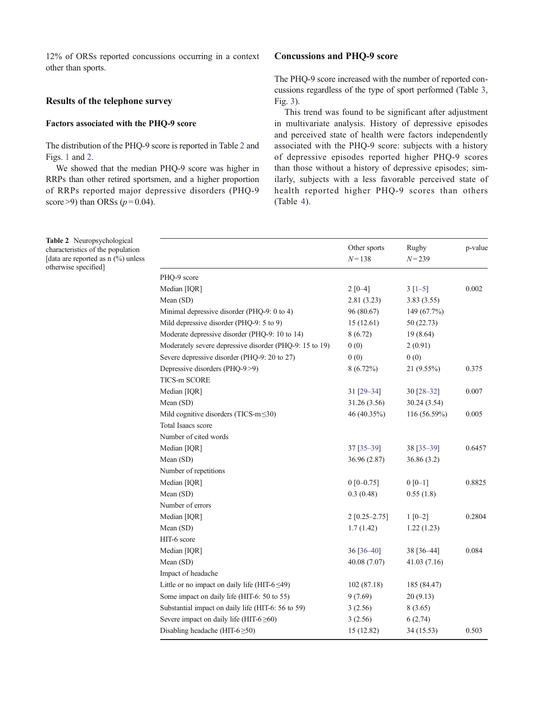<span id="page-5-0"></span>12% of ORSs reported concussions occurring in a context other than sports.

## Results of the telephone survey

## Factors associated with the PHQ-9 score

The distribution of the PHQ-9 score is reported in Table 2 and Figs. [1](#page-6-0) and [2.](#page-6-0)

We showed that the median PHQ-9 score was higher in RRPs than other retired sportsmen, and a higher proportion of RRPs reported major depressive disorders (PHQ-9 score > 9) than ORSs  $(p=0.04)$ .

Table 2 Neuropsychological characteristics of the population [data are reported as  $n(\%)$  unless otherwise specified]

## Concussions and PHQ-9 score

The PHQ-9 score increased with the number of reported concussions regardless of the type of sport performed (Table [3,](#page-6-0) Fig. [3](#page-6-0)).

This trend was found to be significant after adjustment in multivariate analysis. History of depressive episodes and perceived state of health were factors independently associated with the PHQ-9 score: subjects with a history of depressive episodes reported higher PHQ-9 scores than those without a history of depressive episodes; similarly, subjects with a less favorable perceived state of health reported higher PHQ-9 scores than others (Table [4\)](#page-7-0).

|                                                         | Other sports    | Rugby        | p-value |
|---------------------------------------------------------|-----------------|--------------|---------|
|                                                         | $N = 138$       | $N = 239$    |         |
| PHQ-9 score                                             |                 |              |         |
| Median [IQR]                                            | $2[0-4]$        | $3[1-5]$     | 0.002   |
| Mean (SD)                                               | 2.81(3.23)      | 3.83 (3.55)  |         |
| Minimal depressive disorder (PHQ-9: 0 to 4)             | 96 (80.67)      | 149 (67.7%)  |         |
| Mild depressive disorder (PHQ-9: 5 to 9)                | 15(12.61)       | 50 (22.73)   |         |
| Moderate depressive disorder (PHQ-9: 10 to 14)          | 8(6.72)         | 19 (8.64)    |         |
| Moderately severe depressive disorder (PHQ-9: 15 to 19) | 0(0)            | 2(0.91)      |         |
| Severe depressive disorder (PHQ-9: 20 to 27)            | 0(0)            | 0(0)         |         |
| Depressive disorders (PHQ-9>9)                          | $8(6.72\%)$     | 21 (9.55%)   | 0.375   |
| TICS-m SCORE                                            |                 |              |         |
| Median [IQR]                                            | 31 [29-34]      | 30 [28-32]   | 0.007   |
| Mean (SD)                                               | 31.26 (3.56)    | 30.24 (3.54) |         |
| Mild cognitive disorders (TICS- $m \leq 30$ )           | 46 (40.35%)     | 116 (56.59%) | 0.005   |
| Total Isaacs score                                      |                 |              |         |
| Number of cited words                                   |                 |              |         |
| Median [IQR]                                            | 37 [35-39]      | 38 [35-39]   | 0.6457  |
| Mean (SD)                                               | 36.96 (2.87)    | 36.86 (3.2)  |         |
| Number of repetitions                                   |                 |              |         |
| Median [IQR]                                            | $0 [0 - 0.75]$  | $0[0-1]$     | 0.8825  |
| Mean (SD)                                               | 0.3(0.48)       | 0.55(1.8)    |         |
| Number of errors                                        |                 |              |         |
| Median [IQR]                                            | $2$ [0.25-2.75] | $1 [0-2]$    | 0.2804  |
| Mean (SD)                                               | 1.7(1.42)       | 1.22(1.23)   |         |
| HIT-6 score                                             |                 |              |         |
| Median [IQR]                                            | 36 [36-40]      | 38 [36-44]   | 0.084   |
| Mean (SD)                                               | 40.08 (7.07)    | 41.03 (7.16) |         |
| Impact of headache                                      |                 |              |         |
| Little or no impact on daily life (HIT- $6 \leq 49$ )   | 102(87.18)      | 185 (84.47)  |         |
| Some impact on daily life (HIT-6: 50 to 55)             | 9(7.69)         | 20(9.13)     |         |
| Substantial impact on daily life (HIT-6: 56 to 59)      | 3(2.56)         | 8(3.65)      |         |
| Severe impact on daily life (HIT- $6 \ge 60$ )          | 3(2.56)         | 6(2.74)      |         |
| Disabling headache (HIT- $6 \geq 50$ )                  | 15 (12.82)      | 34 (15.53)   | 0.503   |
|                                                         |                 |              |         |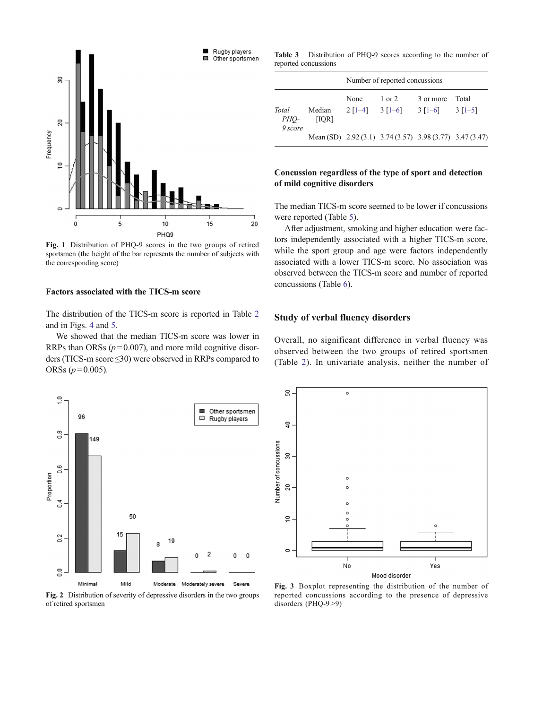<span id="page-6-0"></span>

Fig. 1 Distribution of PHQ-9 scores in the two groups of retired sportsmen (the height of the bar represents the number of subjects with the corresponding score)

#### Factors associated with the TICS-m score

The distribution of the TICS-m score is reported in Table [2](#page-5-0) and in Figs. [4](#page-7-0) and [5.](#page-7-0)

We showed that the median TICS-m score was lower in RRPs than ORSs ( $p = 0.007$ ), and more mild cognitive disorders (TICS-m score ≤30) were observed in RRPs compared to ORSs  $(p=0.005)$ .



Fig. 2 Distribution of severity of depressive disorders in the two groups of retired sportsmen

| <b>Table 3</b> Distribution of PHQ-9 scores according to the number of |  |  |  |  |
|------------------------------------------------------------------------|--|--|--|--|
| reported concussions                                                   |  |  |  |  |

|               |                 | Number of reported concussions |        |                                                                                                                                                                                          |       |
|---------------|-----------------|--------------------------------|--------|------------------------------------------------------------------------------------------------------------------------------------------------------------------------------------------|-------|
| Total<br>PHO- | Median<br>[IOR] | None                           | 1 or 2 | 3 or more<br>$2 \begin{bmatrix} 1-4 \\ 3 \end{bmatrix}$ $3 \begin{bmatrix} 1-6 \\ 3 \end{bmatrix}$ $3 \begin{bmatrix} 1-6 \\ 3 \end{bmatrix}$ $3 \begin{bmatrix} 1-5 \\ 3 \end{bmatrix}$ | Total |
| 9 score       |                 |                                |        | Mean (SD) 2.92 (3.1) 3.74 (3.57) 3.98 (3.77) 3.47 (3.47)                                                                                                                                 |       |

## Concussion regardless of the type of sport and detection of mild cognitive disorders

The median TICS-m score seemed to be lower if concussions were reported (Table [5](#page-8-0)).

After adjustment, smoking and higher education were factors independently associated with a higher TICS-m score, while the sport group and age were factors independently associated with a lower TICS-m score. No association was observed between the TICS-m score and number of reported concussions (Table [6\)](#page-8-0).

## Study of verbal fluency disorders

Overall, no significant difference in verbal fluency was observed between the two groups of retired sportsmen (Table [2\)](#page-5-0). In univariate analysis, neither the number of



Fig. 3 Boxplot representing the distribution of the number of reported concussions according to the presence of depressive disorders (PHQ-9 >9)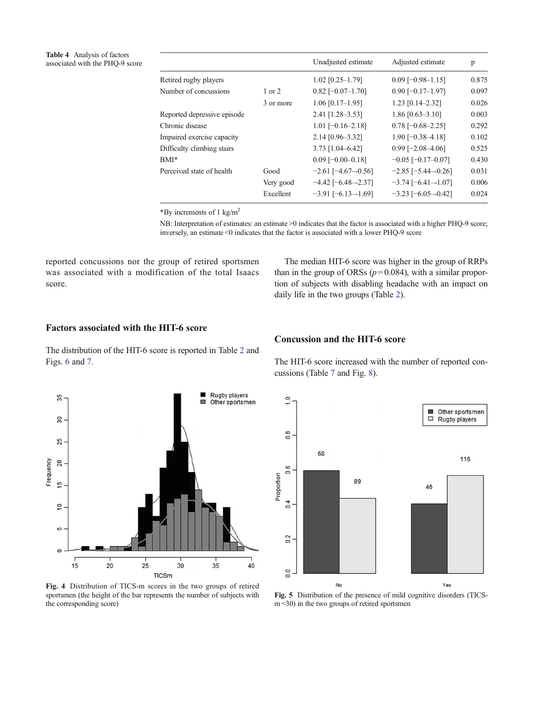<span id="page-7-0"></span>Table 4 Analysis of factors associated with the PHQ-9 score

|                             |           | Unadjusted estimate        | Adjusted estimate          | p     |
|-----------------------------|-----------|----------------------------|----------------------------|-------|
| Retired rugby players       |           | $1.02$ [0.25-1.79]         | $0.09$ [-0.98-1.15]        | 0.875 |
| Number of concussions       | 1 or 2    | $0.82$ [-0.07-1.70]        | $0.90$ [-0.17-1.97]        | 0.097 |
|                             | 3 or more | $1.06$ [0.17-1.95]         | $1.23$ [0.14-2.32]         | 0.026 |
| Reported depressive episode |           | 2.41 [1.28-3.53]           | $1.86$ [0.63-3.10]         | 0.003 |
| Chronic disease             |           | $1.01$ [-0.16-2.18]        | $0.78$ [-0.68-2.25]        | 0.292 |
| Impaired exercise capacity  |           | 2.14 [0.96-3.32]           | $1.90$ [ $-0.38-4.18$ ]    | 0.102 |
| Difficulty climbing stairs  |           | 3.73 [1.04-6.42]           | $0.99$ [-2.08-4.06]        | 0.525 |
| $BMI*$                      |           | $0.09$ [-0.00-0.18]        | $-0.05$ [ $-0.17-0.07$ ]   | 0.430 |
| Perceived state of health   | Good      | $-2.61$ [ $-4.67 - 0.56$ ] | $-2.85$ [ $-5.44 - 0.26$ ] | 0.031 |
|                             | Very good | $-4.42$ [ $-6.48 - 2.37$ ] | $-3.74$ [ $-6.41 - 1.07$ ] | 0.006 |
|                             | Excellent | $-3.91$ $[-6.13 - 1.69]$   | $-3.23$ [ $-6.05 - 0.42$ ] | 0.024 |

\*By increments of 1 kg/m<sup>2</sup>

NB: Interpretation of estimates: an estimate >0 indicates that the factor is associated with a higher PHQ-9 score; inversely, an estimate <0 indicates that the factor is associated with a lower PHQ-9 score

reported concussions nor the group of retired sportsmen was associated with a modification of the total Isaacs score.

The median HIT-6 score was higher in the group of RRPs than in the group of ORSs  $(p=0.084)$ , with a similar proportion of subjects with disabling headache with an impact on daily life in the two groups (Table [2](#page-5-0)).

## Factors associated with the HIT-6 score

The distribution of the HIT-6 score is reported in Table [2](#page-5-0) and Figs. [6](#page-9-0) and [7.](#page-9-0)



Fig. 4 Distribution of TICS-m scores in the two groups of retired sportsmen (the height of the bar represents the number of subjects with the corresponding score)

## Concussion and the HIT-6 score

The HIT-6 score increased with the number of reported concussions (Table [7](#page-9-0) and Fig. [8\)](#page-9-0).



Fig. 5 Distribution of the presence of mild cognitive disorders (TICSm <30) in the two groups of retired sportsmen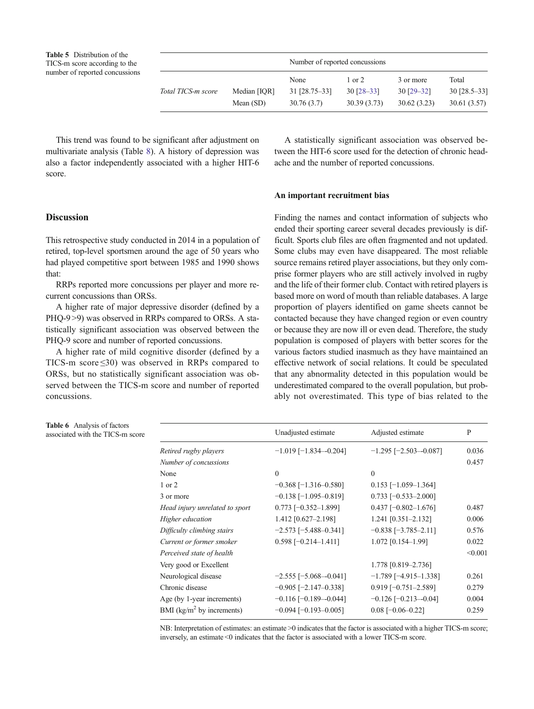<span id="page-8-0"></span>Table 5 Distribution of the TICS-m score according to the number of reported concussions

|                    |                           | Number of reported concussions      |                                           |                                          |                                        |  |
|--------------------|---------------------------|-------------------------------------|-------------------------------------------|------------------------------------------|----------------------------------------|--|
| Total TICS-m score | Median [IQR]<br>Mean (SD) | None<br>31 [28.75-33]<br>30.76(3.7) | 1 or 2<br>$30$ $[28 - 33]$<br>30.39(3.73) | 3 or more<br>$30$ [29-32]<br>30.62(3.23) | Total<br>$30$ [28.5–33]<br>30.61(3.57) |  |

This trend was found to be significant after adjustment on multivariate analysis (Table [8](#page-10-0)). A history of depression was also a factor independently associated with a higher HIT-6 score.

A statistically significant association was observed between the HIT-6 score used for the detection of chronic headache and the number of reported concussions.

## An important recruitment bias

Finding the names and contact information of subjects who ended their sporting career several decades previously is difficult. Sports club files are often fragmented and not updated. Some clubs may even have disappeared. The most reliable source remains retired player associations, but they only comprise former players who are still actively involved in rugby and the life of their former club. Contact with retired players is based more on word of mouth than reliable databases. A large proportion of players identified on game sheets cannot be contacted because they have changed region or even country or because they are now ill or even dead. Therefore, the study population is composed of players with better scores for the various factors studied inasmuch as they have maintained an effective network of social relations. It could be speculated that any abnormality detected in this population would be underestimated compared to the overall population, but probably not overestimated. This type of bias related to the

|                                      | Unadjusted estimate           | Adjusted estimate             | P       |
|--------------------------------------|-------------------------------|-------------------------------|---------|
| Retired rugby players                | $-1.019$ [ $-1.834 - 0.204$ ] | $-1.295$ [ $-2.503 - 0.087$ ] | 0.036   |
| Number of concussions                |                               |                               | 0.457   |
| None                                 | $\Omega$                      | $\theta$                      |         |
| 1 or 2                               | $-0.368$ [-1.316-0.580]       | $0.153$ [-1.059-1.364]        |         |
| 3 or more                            | $-0.138$ [ $-1.095-0.819$ ]   | $0.733$ [-0.533-2.000]        |         |
| Head injury unrelated to sport       | $0.773$ [-0.352-1.899]        | $0.437$ [-0.802-1.676]        | 0.487   |
| Higher education                     | 1.412 [0.627-2.198]           | 1.241 [0.351-2.132]           | 0.006   |
| Difficulty climbing stairs           | $-2.573$ [ $-5.488 - 0.341$ ] | $-0.838$ [ $-3.785-2.11$ ]    | 0.576   |
| Current or former smoker             | $0.598$ [-0.214-1.411]        | 1.072 [0.154-1.99]            | 0.022   |
| Perceived state of health            |                               |                               | < 0.001 |
| Very good or Excellent               |                               | 1.778 [0.819-2.736]           |         |
| Neurological disease                 | $-2.555$ [ $-5.068 - 0.041$ ] | $-1.789$ [ $-4.915-1.338$ ]   | 0.261   |
| Chronic disease                      | $-0.905$ [ $-2.147-0.338$ ]   | $0.919$ [-0.751-2.589]        | 0.279   |
| Age (by 1-year increments)           | $-0.116$ [ $-0.189 - 0.044$ ] | $-0.126$ [ $-0.213 - 0.04$ ]  | 0.004   |
| BMI ( $\text{kg/m}^2$ by increments) | $-0.094$ [ $-0.193 - 0.005$ ] | $0.08$ [-0.06-0.22]           | 0.259   |

NB: Interpretation of estimates: an estimate >0 indicates that the factor is associated with a higher TICS-m score; inversely, an estimate <0 indicates that the factor is associated with a lower TICS-m score.

#### **Discussion**

Table 6 Analysis of factors associated with the TICS-m score

This retrospective study conducted in 2014 in a population of retired, top-level sportsmen around the age of 50 years who had played competitive sport between 1985 and 1990 shows that:

RRPs reported more concussions per player and more recurrent concussions than ORSs.

A higher rate of major depressive disorder (defined by a PHQ-9>9) was observed in RRPs compared to ORSs. A statistically significant association was observed between the PHQ-9 score and number of reported concussions.

A higher rate of mild cognitive disorder (defined by a TICS-m score ≤30) was observed in RRPs compared to ORSs, but no statistically significant association was observed between the TICS-m score and number of reported concussions.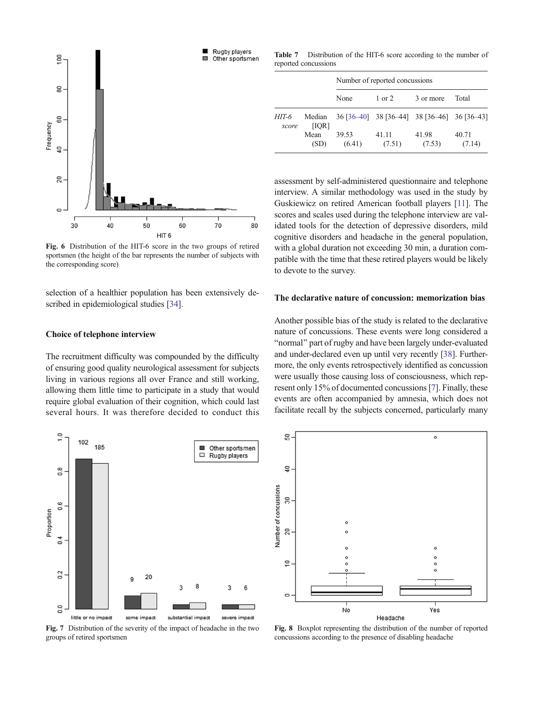<span id="page-9-0"></span>

selection of a healthier population has been extensively de-

sportsmen (the height of the bar represents the number of subjects with

The recruitment difficulty was compounded by the difficulty of ensuring good quality neurological assessment for subjects living in various regions all over France and still working, allowing them little time to participate in a study that would require global evaluation of their cognition, which could last several hours. It was therefore decided to conduct this

scribed in epidemiological studies [\[34\]](#page-11-0).

Choice of telephone interview

the corresponding score)

Table 7 Distribution of the HIT-6 score according to the number of reported concussions

|                |                 | Number of reported concussions |                                             |                 |                 |
|----------------|-----------------|--------------------------------|---------------------------------------------|-----------------|-----------------|
|                |                 | None                           | $1$ or $2$                                  | 3 or more       | Total           |
| HIT-6<br>score | Median<br>[IOR] |                                | 36 [36-40] 38 [36-44] 38 [36-46] 36 [36-43] |                 |                 |
|                | Mean<br>(SD)    | 39.53<br>(6.41)                | 41.11<br>(7.51)                             | 41.98<br>(7.53) | 40.71<br>(7.14) |

assessment by self-administered questionnaire and telephone interview. A similar methodology was used in the study by Guskiewicz on retired American football players [\[11\]](#page-11-0). The scores and scales used during the telephone interview are validated tools for the detection of depressive disorders, mild cognitive disorders and headache in the general population, with a global duration not exceeding 30 min, a duration compatible with the time that these retired players would be likely to devote to the survey.

#### The declarative nature of concussion: memorization bias

Another possible bias of the study is related to the declarative nature of concussions. These events were long considered a "normal" part of rugby and have been largely under-evaluated and under-declared even up until very recently [[38](#page-12-0)]. Furthermore, the only events retrospectively identified as concussion were usually those causing loss of consciousness, which represent only 15% of documented concussions [\[7\]](#page-11-0). Finally, these events are often accompanied by amnesia, which does not facilitate recall by the subjects concerned, particularly many



Fig. 7 Distribution of the severity of the impact of headache in the two groups of retired sportsmen



Fig. 8 Boxplot representing the distribution of the number of reported concussions according to the presence of disabling headache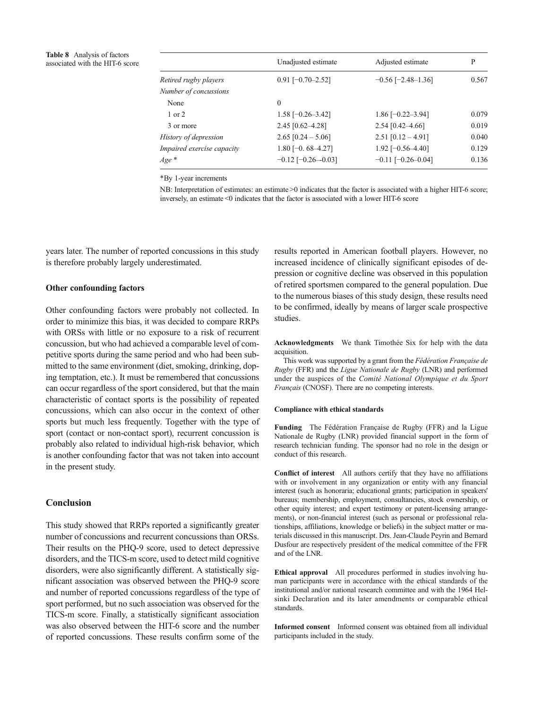#### <span id="page-10-0"></span>Table 8 Analysis of factors associated with the HIT-6 score

|                            | Unadjusted estimate        | Adjusted estimate         | P     |
|----------------------------|----------------------------|---------------------------|-------|
| Retired rugby players      | $0.91$ [-0.70-2.52]        | $-0.56$ [ $-2.48-1.36$ ]  | 0.567 |
| Number of concussions      |                            |                           |       |
| None                       | $\Omega$                   |                           |       |
| 1 or 2                     | $1.58$ [-0.26-3.42]        | $1.86$ [ $-0.22 - 3.94$ ] | 0.079 |
| 3 or more                  | 2.45 [0.62-4.28]           | $2.54$ [0.42-4.66]        | 0.019 |
| History of depression      | $2.65$ [0.24 - 5.06]       | $2.51$ [0.12 - 4.91]      | 0.040 |
| Impaired exercise capacity | $1.80$ [-0.68-4.27]        | $1.92$ [-0.56-4.40]       | 0.129 |
| $Age*$                     | $-0.12$ [ $-0.26 - 0.03$ ] | $-0.11$ $[-0.26 - 0.04]$  | 0.136 |

\*By 1-year increments

NB: Interpretation of estimates: an estimate >0 indicates that the factor is associated with a higher HIT-6 score; inversely, an estimate <0 indicates that the factor is associated with a lower HIT-6 score

years later. The number of reported concussions in this study is therefore probably largely underestimated.

## Other confounding factors

Other confounding factors were probably not collected. In order to minimize this bias, it was decided to compare RRPs with ORSs with little or no exposure to a risk of recurrent concussion, but who had achieved a comparable level of competitive sports during the same period and who had been submitted to the same environment (diet, smoking, drinking, doping temptation, etc.). It must be remembered that concussions can occur regardless of the sport considered, but that the main characteristic of contact sports is the possibility of repeated concussions, which can also occur in the context of other sports but much less frequently. Together with the type of sport (contact or non-contact sport), recurrent concussion is probably also related to individual high-risk behavior, which is another confounding factor that was not taken into account in the present study.

## Conclusion

This study showed that RRPs reported a significantly greater number of concussions and recurrent concussions than ORSs. Their results on the PHQ-9 score, used to detect depressive disorders, and the TICS-m score, used to detect mild cognitive disorders, were also significantly different. A statistically significant association was observed between the PHQ-9 score and number of reported concussions regardless of the type of sport performed, but no such association was observed for the TICS-m score. Finally, a statistically significant association was also observed between the HIT-6 score and the number of reported concussions. These results confirm some of the

results reported in American football players. However, no increased incidence of clinically significant episodes of depression or cognitive decline was observed in this population of retired sportsmen compared to the general population. Due to the numerous biases of this study design, these results need to be confirmed, ideally by means of larger scale prospective studies.

Acknowledgments We thank Timothée Six for help with the data acquisition.

This work was supported by a grant from the Fédération Française de Rugby (FFR) and the Ligue Nationale de Rugby (LNR) and performed under the auspices of the Comité National Olympique et du Sport Français (CNOSF). There are no competing interests.

#### Compliance with ethical standards

Funding The Fédération Française de Rugby (FFR) and la Ligue Nationale de Rugby (LNR) provided financial support in the form of research technician funding. The sponsor had no role in the design or conduct of this research.

Conflict of interest All authors certify that they have no affiliations with or involvement in any organization or entity with any financial interest (such as honoraria; educational grants; participation in speakers' bureaus; membership, employment, consultancies, stock ownership, or other equity interest; and expert testimony or patent-licensing arrangements), or non-financial interest (such as personal or professional relationships, affiliations, knowledge or beliefs) in the subject matter or materials discussed in this manuscript. Drs. Jean-Claude Peyrin and Bernard Dusfour are respectively president of the medical committee of the FFR and of the LNR.

Ethical approval All procedures performed in studies involving human participants were in accordance with the ethical standards of the institutional and/or national research committee and with the 1964 Helsinki Declaration and its later amendments or comparable ethical standards.

Informed consent Informed consent was obtained from all individual participants included in the study.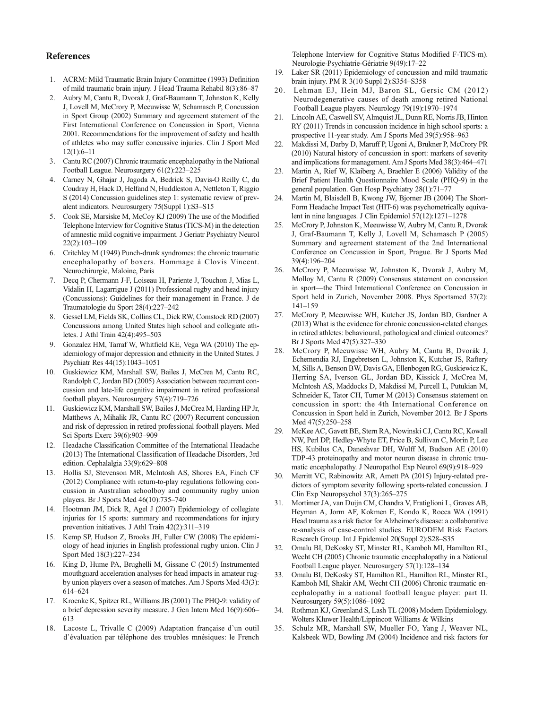#### <span id="page-11-0"></span>References

- 1. ACRM: Mild Traumatic Brain Injury Committee (1993) Definition of mild traumatic brain injury. J Head Trauma Rehabil 8(3):86–87
- 2. Aubry M, Cantu R, Dvorak J, Graf-Baumann T, Johnston K, Kelly J, Lovell M, McCrory P, Meeuwisse W, Schamasch P, Concussion in Sport Group (2002) Summary and agreement statement of the First International Conference on Concussion in Sport, Vienna 2001. Recommendations for the improvement of safety and health of athletes who may suffer concussive injuries. Clin J Sport Med 12(1):6–11
- 3. Cantu RC (2007) Chronic traumatic encephalopathy in the National Football League. Neurosurgery 61(2):223–225
- 4. Carney N, Ghajar J, Jagoda A, Bedrick S, Davis-O Reilly C, du Coudray H, Hack D, Helfand N, Huddleston A, Nettleton T, Riggio S (2014) Concussion guidelines step 1: systematic review of prevalent indicators. Neurosurgery 75(Suppl 1):S3–S15
- 5. Cook SE, Marsiske M, McCoy KJ (2009) The use of the Modified Telephone Interview for Cognitive Status (TICS-M) in the detection of amnestic mild cognitive impairment. J Geriatr Psychiatry Neurol 22(2):103–109
- 6. Critchley M (1949) Punch-drunk syndromes: the chronic traumatic encephalopathy of boxers. Hommage à Clovis Vincent. Neurochirurgie, Maloine, Paris
- 7. Decq P, Chermann J-F, Loiseau H, Pariente J, Touchon J, Mias L, Vidalin H, Lagarrigue J (2011) Professional rugby and head injury (Concussions): Guidelines for their management in France. J de Traumatologie du Sport 28(4):227–242
- 8. Gessel LM, Fields SK, Collins CL, Dick RW, Comstock RD (2007) Concussions among United States high school and collegiate athletes. J Athl Train 42(4):495–503
- 9. Gonzalez HM, Tarraf W, Whitfield KE, Vega WA (2010) The epidemiology of major depression and ethnicity in the United States. J Psychiatr Res 44(15):1043–1051
- 10. Guskiewicz KM, Marshall SW, Bailes J, McCrea M, Cantu RC, Randolph C, Jordan BD (2005) Association between recurrent concussion and late-life cognitive impairment in retired professional football players. Neurosurgery 57(4):719–726
- 11. Guskiewicz KM, Marshall SW, Bailes J, McCrea M, Harding HP Jr, Matthews A, Mihalik JR, Cantu RC (2007) Recurrent concussion and risk of depression in retired professional football players. Med Sci Sports Exerc 39(6):903–909
- 12. Headache Classification Committee of the International Headache (2013) The International Classification of Headache Disorders, 3rd edition. Cephalalgia 33(9):629–808
- 13. Hollis SJ, Stevenson MR, McIntosh AS, Shores EA, Finch CF (2012) Compliance with return-to-play regulations following concussion in Australian schoolboy and community rugby union players. Br J Sports Med 46(10):735–740
- 14. Hootman JM, Dick R, Agel J (2007) Epidemiology of collegiate injuries for 15 sports: summary and recommendations for injury prevention initiatives. J Athl Train 42(2):311–319
- 15. Kemp SP, Hudson Z, Brooks JH, Fuller CW (2008) The epidemiology of head injuries in English professional rugby union. Clin J Sport Med 18(3):227–234
- 16. King D, Hume PA, Brughelli M, Gissane C (2015) Instrumented mouthguard acceleration analyses for head impacts in amateur rugby union players over a season of matches. Am J Sports Med 43(3): 614–624
- 17. Kroenke K, Spitzer RL, Williams JB (2001) The PHQ-9: validity of a brief depression severity measure. J Gen Intern Med 16(9):606– 613
- 18. Lacoste L, Trivalle C (2009) Adaptation française d'un outil d'évaluation par téléphone des troubles mnésiques: le French

Telephone Interview for Cognitive Status Modified F-TICS-m). Neurologie-Psychiatrie-Gériatrie 9(49):17–22

- 19. Laker SR (2011) Epidemiology of concussion and mild traumatic brain injury. PM R 3(10 Suppl 2):S354–S358
- 20. Lehman EJ, Hein MJ, Baron SL, Gersic CM (2012) Neurodegenerative causes of death among retired National Football League players. Neurology 79(19):1970–1974
- 21. Lincoln AE, Caswell SV, Almquist JL, Dunn RE, Norris JB, Hinton RY (2011) Trends in concussion incidence in high school sports: a prospective 11-year study. Am J Sports Med 39(5):958–963
- 22. Makdissi M, Darby D, Maruff P, Ugoni A, Brukner P, McCrory PR (2010) Natural history of concussion in sport: markers of severity and implications for management. Am J Sports Med 38(3):464–471
- 23. Martin A, Rief W, Klaiberg A, Braehler E (2006) Validity of the Brief Patient Health Questionnaire Mood Scale (PHQ-9) in the general population. Gen Hosp Psychiatry 28(1):71–77
- 24. Martin M, Blaisdell B, Kwong JW, Bjorner JB (2004) The Short-Form Headache Impact Test (HIT-6) was psychometrically equivalent in nine languages. J Clin Epidemiol 57(12):1271–1278
- 25. McCrory P, Johnston K, Meeuwisse W, Aubry M, Cantu R, Dvorak J, Graf-Baumann T, Kelly J, Lovell M, Schamasch P (2005) Summary and agreement statement of the 2nd International Conference on Concussion in Sport, Prague. Br J Sports Med 39(4):196–204
- 26. McCrory P, Meeuwisse W, Johnston K, Dvorak J, Aubry M, Molloy M, Cantu R (2009) Consensus statement on concussion in sport—the Third International Conference on Concussion in Sport held in Zurich, November 2008. Phys Sportsmed 37(2): 141–159
- 27. McCrory P, Meeuwisse WH, Kutcher JS, Jordan BD, Gardner A (2013) What is the evidence for chronic concussion-related changes in retired athletes: behavioural, pathological and clinical outcomes? Br J Sports Med 47(5):327–330
- 28. McCrory P, Meeuwisse WH, Aubry M, Cantu B, Dvorák J, Echemendia RJ, Engebretsen L, Johnston K, Kutcher JS, Raftery M, Sills A, Benson BW, Davis GA, Ellenbogen RG, Guskiewicz K, Herring SA, Iverson GL, Jordan BD, Kissick J, McCrea M, McIntosh AS, Maddocks D, Makdissi M, Purcell L, Putukian M, Schneider K, Tator CH, Turner M (2013) Consensus statement on concussion in sport: the 4th International Conference on Concussion in Sport held in Zurich, November 2012. Br J Sports Med 47(5):250–258
- 29. McKee AC, Gavett BE, Stern RA, Nowinski CJ, Cantu RC, Kowall NW, Perl DP, Hedley-Whyte ET, Price B, Sullivan C, Morin P, Lee HS, Kubilus CA, Daneshvar DH, Wulff M, Budson AE (2010) TDP-43 proteinopathy and motor neuron disease in chronic traumatic encephalopathy. J Neuropathol Exp Neurol 69(9):918–929
- 30. Merritt VC, Rabinowitz AR, Arnett PA (2015) Injury-related predictors of symptom severity following sports-related concussion. J Clin Exp Neuropsychol 37(3):265–275
- 31. Mortimer JA, van Duijn CM, Chandra V, Fratiglioni L, Graves AB, Heyman A, Jorm AF, Kokmen E, Kondo K, Rocca WA (1991) Head trauma as a risk factor for Alzheimer's disease: a collaborative re-analysis of case-control studies. EURODEM Risk Factors Research Group. Int J Epidemiol 20(Suppl 2):S28–S35
- 32. Omalu BI, DeKosky ST, Minster RL, Kamboh MI, Hamilton RL, Wecht CH (2005) Chronic traumatic encephalopathy in a National Football League player. Neurosurgery 57(1):128–134
- 33. Omalu BI, DeKosky ST, Hamilton RL, Hamilton RL, Minster RL, Kamboh MI, Shakir AM, Wecht CH (2006) Chronic traumatic encephalopathy in a national football league player: part II. Neurosurgery 59(5):1086–1092
- 34. Rothman KJ, Greenland S, Lash TL (2008) Modern Epidemiology. Wolters Kluwer Health/Lippincott Williams & Wilkins
- 35. Schulz MR, Marshall SW, Mueller FO, Yang J, Weaver NL, Kalsbeek WD, Bowling JM (2004) Incidence and risk factors for